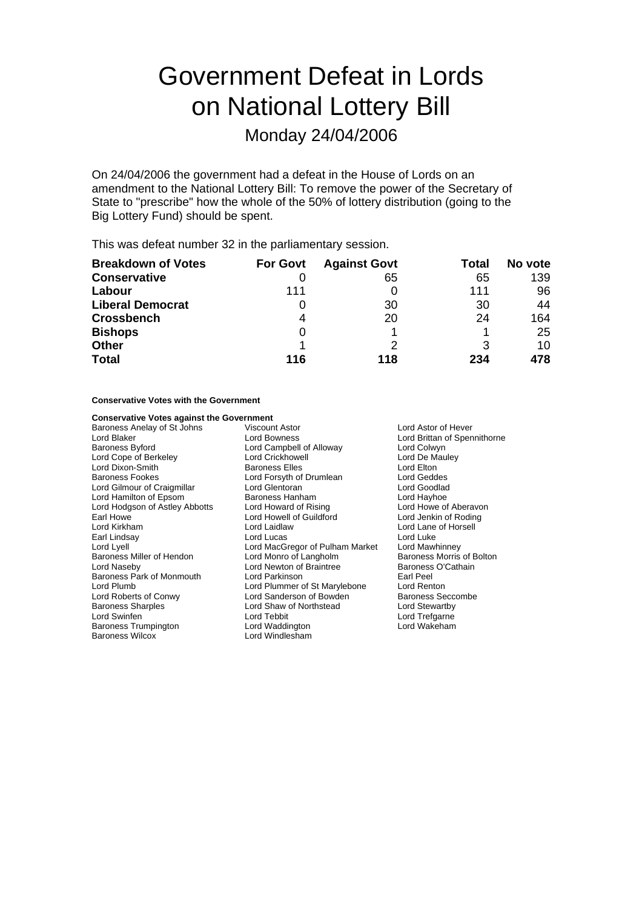# Government Defeat in Lords on National Lottery Bill

## Monday 24/04/2006

On 24/04/2006 the government had a defeat in the House of Lords on an amendment to the National Lottery Bill: To remove the power of the Secretary of State to "prescribe" how the whole of the 50% of lottery distribution (going to the Big Lottery Fund) should be spent.

This was defeat number 32 in the parliamentary session.

| <b>Breakdown of Votes</b> | <b>For Govt</b> | <b>Against Govt</b> | Total | No vote |
|---------------------------|-----------------|---------------------|-------|---------|
| <b>Conservative</b>       |                 | 65                  | 65    | 139     |
| Labour                    | 111             |                     | 111   | 96      |
| <b>Liberal Democrat</b>   |                 | 30                  | 30    | 44      |
| <b>Crossbench</b>         | 4               | 20                  | 24    | 164     |
| <b>Bishops</b>            | 0               |                     |       | 25      |
| <b>Other</b>              |                 |                     | 3     | 10      |
| <b>Total</b>              | 116             | 118                 | 234   | 478     |

#### **Conservative Votes with the Government**

## **Conservative Votes against the Government**<br>Baroness Anelay of St Johns Viscount Astor

Baroness Anelay of St Johns Viscount Astor Lord Astor of Hever Lord Blaker Lord Bowness<br>
Lord Brittan of Spennithorne<br>
Lord Comphell of Alloway Lord Colwyn<br>
Lord Colwyn Lord Cope of Berkeley Lord Dixon-Smith Baroness Elles Lord Elton Baroness Fookes Lord Forsyth of Drumlean Lord Geddes Lord Gilmour of Craigmillar **Lord Glentoran** Lord Goodlack Lord Goodlack Lord Goodlack Lord Havhoe<br>
Lord Hamilton of Epsom **Baroness Hanham** Cord Havhoe Lord Hamilton of Epsom Baroness Hanham Lord Hodgson of Astley Abbotts Lord Howard of Rising Lord Howe of Aberavon<br>
Lord Howe Lord Lord Howell of Guildford Lord Jenkin of Roding Earl Howe **Lord Howell of Guildford**<br>
Lord Kirkham **Lord Laidlaw** Earl Lindsay **Lord Lucas** Lord Lyell Lord MacGregor of Pulham Market Lord Mawhinney<br>
Baroness Miller of Hendon Lord Monro of Langholm Baroness Morris of Bolton Baroness Miller of Hendon Lord Monro of Langholm Baroness Morris of E<br>
Lord Naseby Lord Newton of Braintree Baroness O'Cathain Baroness Park of Monmouth Lord Parkinson Lord Plumb Lord Plummer of St Marylebone Lord Renton<br>
Lord Roberts of Conwy Lord Sanderson of Bowden Baroness Seccombe Lord Roberts of Conwy Lord Sanderson of Bowden Baroness Seccomber 2012<br>
Baroness Sharples Correspondent Lord Shaw of Northstead Lord Stewartby Lord Swinfen Lord Tebbit Lord Trefgarne Baroness Trumpington Lord Waddington Lord Wakeham

Lord Campbell of Alloway **Lord Colwyn**<br>
Lord Crickhowell **Lord De Mauley** Lord Newton of Braintree Baroness<br>Lord Parkinson Baroness Carl Peel Lord Shaw of Northstead Lord Windlesham

Lord Lane of Horsell<br>Lord Luke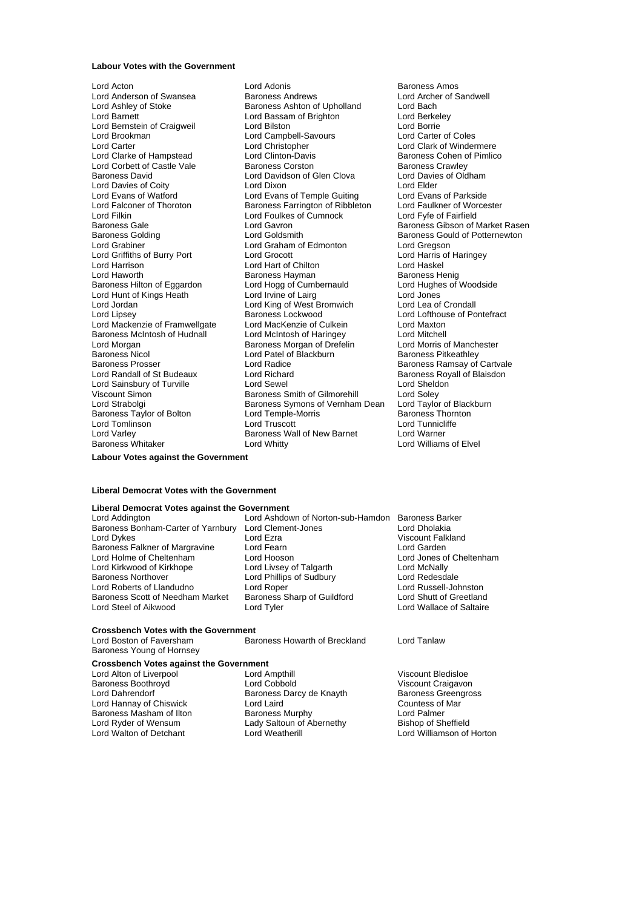#### **Labour Votes with the Government**

Lord Brookman **Lord Campbell-Savours**<br>
Lord Carter **Campbell**<br>
Lord Christopher Lord Clarke of Hampstead Lord Clinton-Davis Lord Filkin Lord Foulkes of Cumnock Lord Fyfe of Fairfield Lord Harrison **Lord Hart of Chilton** Lord Jordan **Lord King of West Bromwich**<br>
Lord Lipsey **Cronomic Cronomic Cronomic Baroness**<br>
Baroness Lockwood Baroness McIntosh of Hudnall Baroness Nicol Lord Patel of Blackburn<br>Baroness Prosser Lord Radice Lord Varley **Baroness Wall of New Barnet**<br>
Baroness Whitaker **Baroness Whitaker** Lord Whitty

Lord Acton Lord Adonis Baroness Amos Lord Anderson of Swansea Baroness Andrews Bandwell<br>
Lord Ashlev of Stoke Baroness Ashton of Upholland Lord Bach Lord Ashley of Stoke **Baroness Ashton of Upholland** Lord Bach<br>
Lord Barnett Lord Bach Lord Bassam of Brighton Lord Berkeley Lord Bassam of Brighton Lord Bernstein of Craigweil Lord Bilston Cord Borrie Lord Borrie Coles<br>
Lord Brookman Lord Campbell-Savours Lord Carter of Coles Lord Corbett of Castle Vale **Baroness Corston** Baroness Cawley<br>Baroness David<br>Baroness David Baroness Corston Baroness Corston Baroness Cord David Baroness of Oldham Lord Davidson of Glen Clova Lord Davie<br>Lord Dixon Lord Flder Lord Davies of Coity **Lord Dixon**<br>
Lord Evans of Watford **Lord Evans of Lord Evans of Parkside**<br>
Lord Evans of Watford **Lord Evans of Lord Evans of Parkside** Lord Evans of Watford **Lord Evans of Temple Guiting** Lord Evans of Parkside<br>
Lord Falconer of Thoroton **Lord Example Baroness Farrington of Ribbleton** Lord Faulkner of Worcester Lord Falconer of Thoroton Baroness Farrington of Ribbleton Lord Faulkner of Worch Lord Fulkner of Worch Lord F<br>Lord Filkin Lord Cord Foulkes of Cumnock Lord Forte of Fairfield Lord Gavron **Baroness** Gibson of Market Rasen Baroness Golding **Baroness Colding Constructs Colding** Baroness Gould of Potternewton<br>
Lord Grabiner **Baroness Colding Constructs Constructs**<br>
Lord Gregson Lord Graham of Edmonton Lord Gregson<br>
Lord Grocott Cord Harris of Haringey Lord Griffiths of Burry Port Lord Grocott Lord Grocott Lord Harris c<br>
Lord Harrison Lord Harris Lord Harris Chilton Lord Haskel Lord Haworth **Baroness Hayman**<br>
Baroness Hilton of Eqgardon **Baroness Hayman** Baroness Henig<br>
Lord Hughes of Woodside Baroness Hilton of Eggardon Lord Hogg of Cumbernauld Lord Hughe<br>Lord Hunt of Kings Heath Lord Lord Irvine of Lairg Lord Jones Lord Hunt of Kings Heath Lord Irvine of Lairg Lord Unes Lord Jones<br>
Lord Jordan Lord Lord Lord Lea of Crondall Baroness Lockwood Lord Lofthouse of Pontefract<br>
Lord MacKenzie of Culkein Lord Maxton Lord Mackenzie of Framwellgate Lord MacKenzie of Culkein Lord Maxton<br>Baroness McIntosh of Hudnall Lord McIntosh of Haringey Lord Mitchell Lord Morgan **Communist Communist Communist Communist Communist Communist Communist Communist Communist Communist Communist Communist Communist Communist Communist Communist Communist Communist Communist Communist Communist** Baroness Prosser **Exercise Server Lord Radice** For a Baroness Ramsay of Cartvale<br>1991 Lord Ramsay Cord Richard Electronic Baroness Royall of Blaisdon Lord Richard **Contains Containers** Baroness Royall of Blaisdon<br>
Lord Sewel **Lord Sheldon** Lord Sainsbury of Turville **Lord Sewel Lord Sewel Lord Sheldon**<br>
Uiscount Simon **Consule Consule Baroness Smith of Gilmorehill** Lord Soley Viscount Simon **Baroness Smith of Gilmorehill** Lord Soley<br>
Lord Strabolgi **Contains Baroness Symons of Vernham Dean** Lord Taylor of Blackburn Baroness Symons of Vernham Dean Baroness Taylor of Bolton **Lord Temple-Morris Baroness Thornton**<br>
Lord Tomlinson **Lord Tuscott** Lord Tuscott **Lord Tunnicliffe** Lord Tomlinson Lord Truscott Lord Truscott Lord Tomlinson Lord Tunnicli<br>
Lord Varley Baroness Wall of New Barnet Lord Warner Lord Whitty **Lord Williams of Elvel** 

Lord Clark of Windermere<br>Baroness Cohen of Pimlico

#### **Labour Votes against the Government**

#### **Liberal Democrat Votes with the Government**

**Liberal Democrat Votes against the Government**

Baroness Bonham-Carter of Yarnbury Lord Clement-Jones Lord Dykes Lord Exra Lord Ezra Miscount Falkland<br>
Baroness Falkner of Margravine Lord Fearn Lord Cord Carden Baroness Falkner of Margravine Lord Fearn Lord Garden<br>Lord Holme of Cheltenham Lord Hooson Lord Jones of Cheltenham Lord Holme of Cheltenham Lord Hooson Lord Hooson Lord Cord Jones of<br>
Lord Kirkwood of Kirkhope Lord Livsey of Talgarth Lord McNally Baroness Northover **Lord Phillips of Sudbury** Cord Redesdale<br>
Lord Roberts of Llandudno Lord Roper Cord Rober Lord Russell-Johnston Lord Roberts of Llandudno Lord Roper Lord Roper Lord Russell-Johnston<br>Baroness Scott of Needham Market Baroness Sharp of Guildford Lord Shutt of Greetland Baroness Scott of Needham Market Lord Steel of Aikwood Lord Tyler Lord Wallace of Saltaire

Lord Ashdown of Norton-sub-Hamdon Baroness Barker<br>Lord Clement-Jones Lord Dholakia Lord Livsey of Talgarth Lord McNally<br>
Lord Phillips of Sudbury Lord Redesdale

#### **Crossbench Votes with the Government**

Lord Boston of Faversham Baroness Howarth of Breckland Lord Tanlaw Baroness Young of Hornsey

#### **Crossbench Votes against the Government**

Baroness Boothroyd **Communist Control Lord Cobbold** Viscount Craigavon<br>
Lord Dahrendorf **Communist Communist Communist Communist Communist Communist Communist Communist Communist Comm** Lord Hannay of Chiswick Lord Laird<br>
Baroness Masham of Ilton Baroness Murphy Lord Palmer Baroness Masham of Ilton **Baroness Murphy** Baroness Murphy<br>
Lord Ryder of Wensum **Lady Saltoun of Abernethy** Bishop of Sheffield Lord Ryder of Wensum Lady Saltoun of Abernethy<br>
Lord Walton of Detchant<br>
Lord Weatherill

Lord Alton of Liverpool Lord Ampthill Corporation Corporation Corporation Corporation Corporation Corporation<br>
Lord Cobbold Corporation Corporation Corporation Corporation Corporation Corporation Corporation Corporation<br>
L Baroness Darcy de Knayth Baroness Greengross Darcy de Knayth Baroness Greengross Orientes

Lord Williamson of Horton